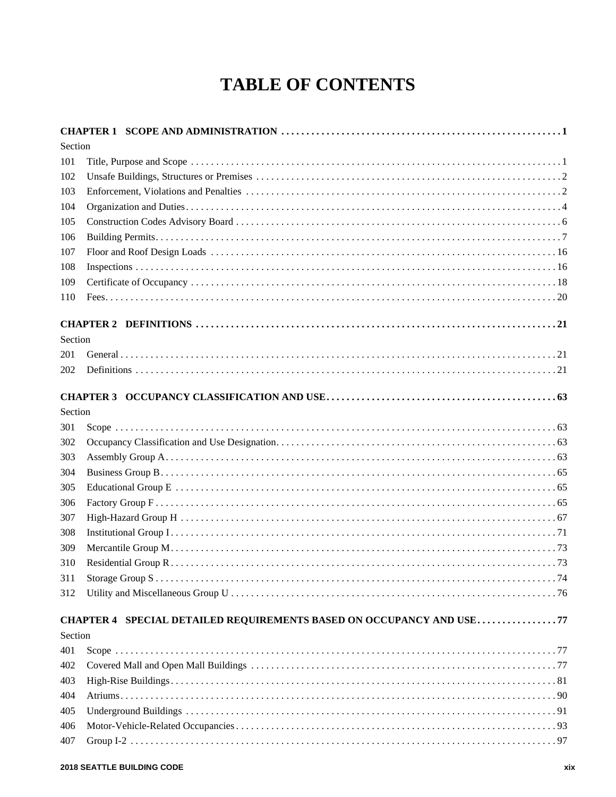## **TABLE OF CONTENTS**

| Section |                                                                      |
|---------|----------------------------------------------------------------------|
| 101     |                                                                      |
| 102     |                                                                      |
| 103     |                                                                      |
| 104     |                                                                      |
| 105     |                                                                      |
| 106     |                                                                      |
| 107     |                                                                      |
| 108     |                                                                      |
| 109     |                                                                      |
| 110     |                                                                      |
|         |                                                                      |
| Section |                                                                      |
| 201     |                                                                      |
| 202     |                                                                      |
|         |                                                                      |
| Section |                                                                      |
| 301     |                                                                      |
| 302     |                                                                      |
| 303     |                                                                      |
| 304     |                                                                      |
| 305     |                                                                      |
| 306     |                                                                      |
| 307     |                                                                      |
| 308     |                                                                      |
| 309     |                                                                      |
| 310     |                                                                      |
| 311     |                                                                      |
| 312     |                                                                      |
|         | CHAPTER 4 SPECIAL DETAILED REQUIREMENTS BASED ON OCCUPANCY AND USE77 |
| Section |                                                                      |
| 401     |                                                                      |
| 402     |                                                                      |
| 403     |                                                                      |
| 404     |                                                                      |
| 405     |                                                                      |
| 406     |                                                                      |
| 407     |                                                                      |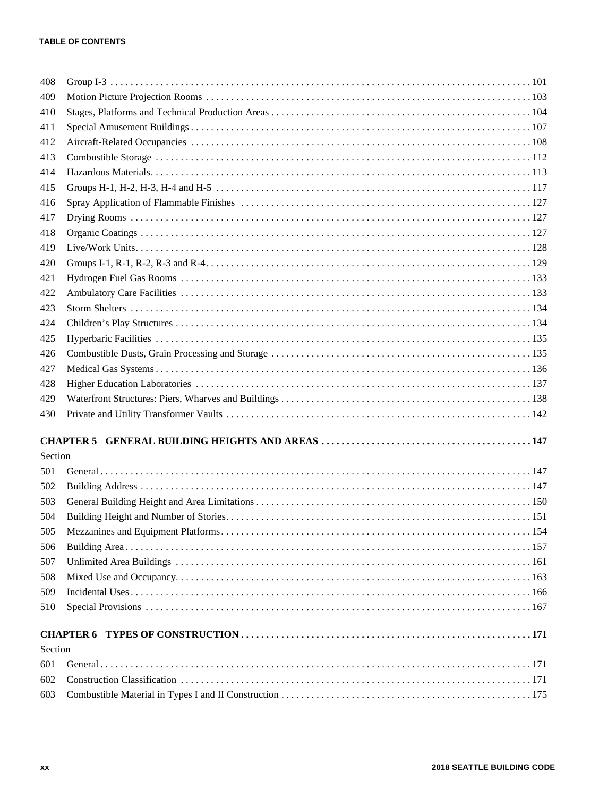| 408        |  |  |
|------------|--|--|
| 409        |  |  |
| 410        |  |  |
| 411        |  |  |
| 412        |  |  |
| 413        |  |  |
| 414        |  |  |
| 415        |  |  |
| 416        |  |  |
| 417        |  |  |
| 418        |  |  |
| 419        |  |  |
| 420        |  |  |
| 421        |  |  |
| 422        |  |  |
| 423        |  |  |
| 424        |  |  |
| 425        |  |  |
| 426        |  |  |
| 427        |  |  |
| 428        |  |  |
| 429        |  |  |
| 430        |  |  |
|            |  |  |
| Section    |  |  |
| 501        |  |  |
|            |  |  |
| 502<br>503 |  |  |
|            |  |  |
| 504        |  |  |
| 505        |  |  |
| 506<br>507 |  |  |
| 508        |  |  |
|            |  |  |
| 509        |  |  |
| 510        |  |  |
|            |  |  |
| Section    |  |  |
| 601        |  |  |
| 602        |  |  |
| 603        |  |  |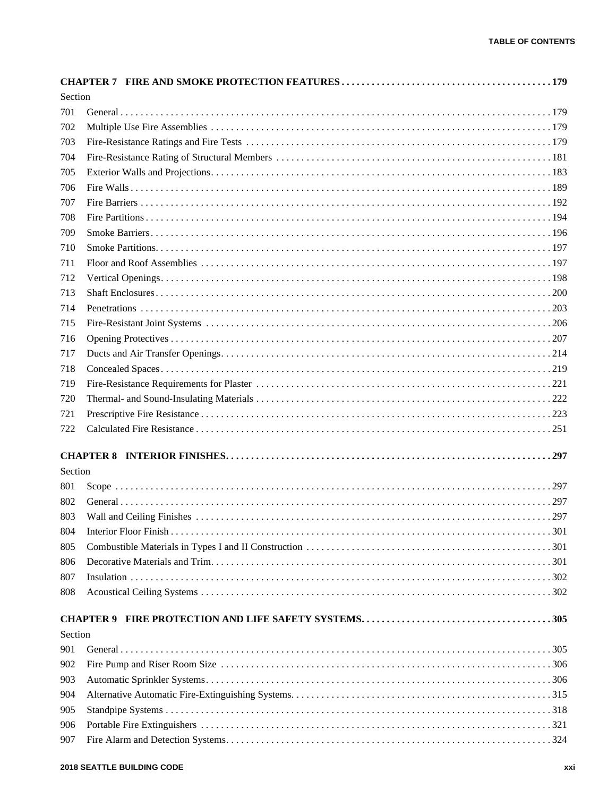| Section |  |
|---------|--|
| 701     |  |
| 702     |  |
| 703     |  |
| 704     |  |
| 705     |  |
| 706     |  |
| 707     |  |
| 708     |  |
| 709     |  |
| 710     |  |
| 711     |  |
| 712     |  |
| 713     |  |
| 714     |  |
| 715     |  |
| 716     |  |
| 717     |  |
| 718     |  |
| 719     |  |
| 720     |  |
| 721     |  |
| 722     |  |
|         |  |
| Section |  |
|         |  |
| 801     |  |
| 802     |  |
| 803     |  |
| 804     |  |
| 805     |  |
| 806     |  |
| 807     |  |
| 808     |  |
|         |  |
| Section |  |
| 901     |  |
| 902     |  |
| 903     |  |
| 904     |  |
| 905     |  |
| 906     |  |
| 907     |  |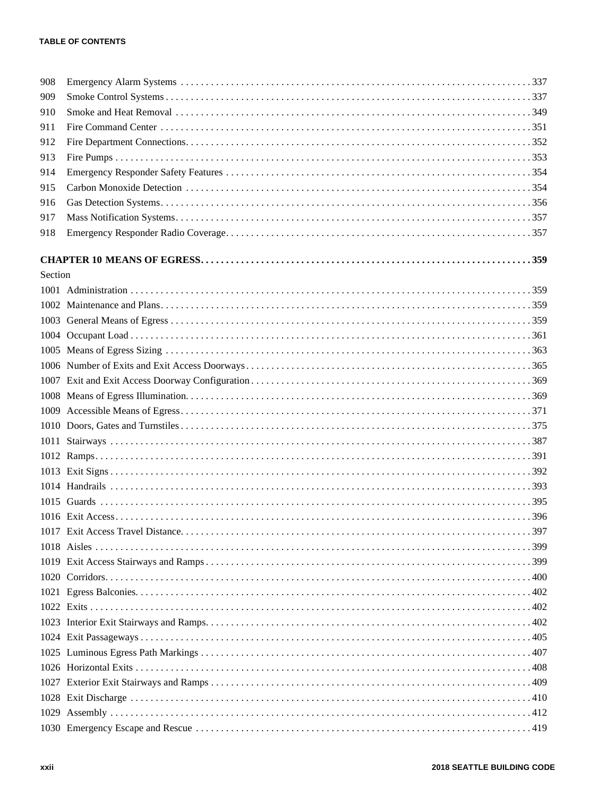| 908     |  |
|---------|--|
| 909     |  |
| 910     |  |
| 911     |  |
| 912     |  |
| 913     |  |
| 914     |  |
| 915     |  |
| 916     |  |
| 917     |  |
| 918     |  |
|         |  |
|         |  |
| Section |  |
|         |  |
|         |  |
|         |  |
|         |  |
|         |  |
|         |  |
|         |  |
|         |  |
|         |  |
|         |  |
|         |  |
|         |  |
|         |  |
|         |  |
|         |  |
|         |  |
|         |  |
|         |  |
|         |  |
|         |  |
|         |  |
|         |  |
|         |  |
|         |  |
|         |  |
|         |  |
|         |  |
|         |  |
|         |  |
|         |  |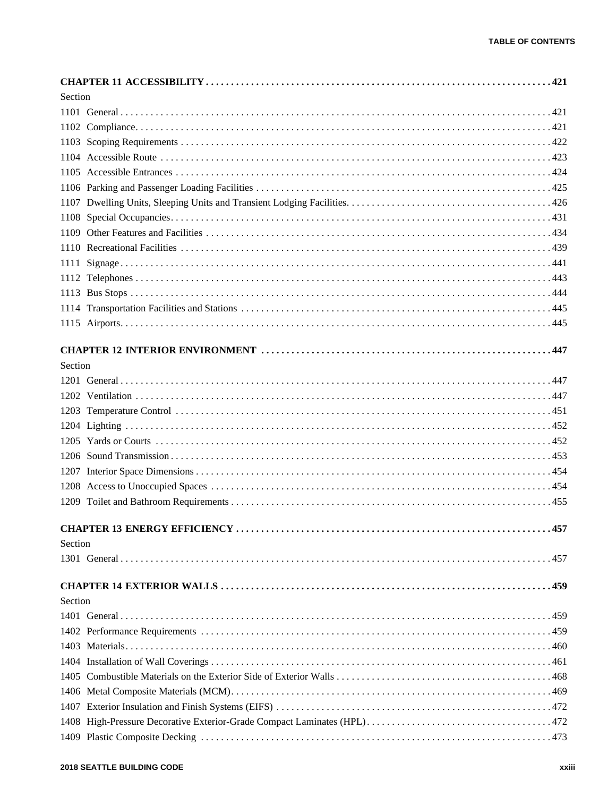| Section |                                      |     |
|---------|--------------------------------------|-----|
|         |                                      |     |
|         |                                      |     |
|         |                                      |     |
|         |                                      |     |
|         |                                      |     |
|         |                                      |     |
|         |                                      |     |
|         |                                      |     |
|         |                                      |     |
|         |                                      |     |
|         |                                      |     |
|         |                                      |     |
|         |                                      |     |
|         |                                      |     |
|         |                                      |     |
|         |                                      |     |
| Section |                                      |     |
|         |                                      |     |
|         |                                      |     |
|         |                                      |     |
|         |                                      |     |
|         |                                      |     |
|         |                                      |     |
|         |                                      |     |
|         |                                      |     |
|         |                                      |     |
|         |                                      |     |
|         | <b>CHAPTER 13 ENERGY EFFICIENCY </b> | 457 |
| Section |                                      |     |
|         |                                      |     |
|         |                                      |     |
| Section |                                      |     |
|         |                                      |     |
|         |                                      |     |
|         |                                      |     |
|         |                                      |     |
|         |                                      |     |
|         |                                      |     |
|         |                                      |     |
|         |                                      |     |
|         |                                      |     |
|         |                                      |     |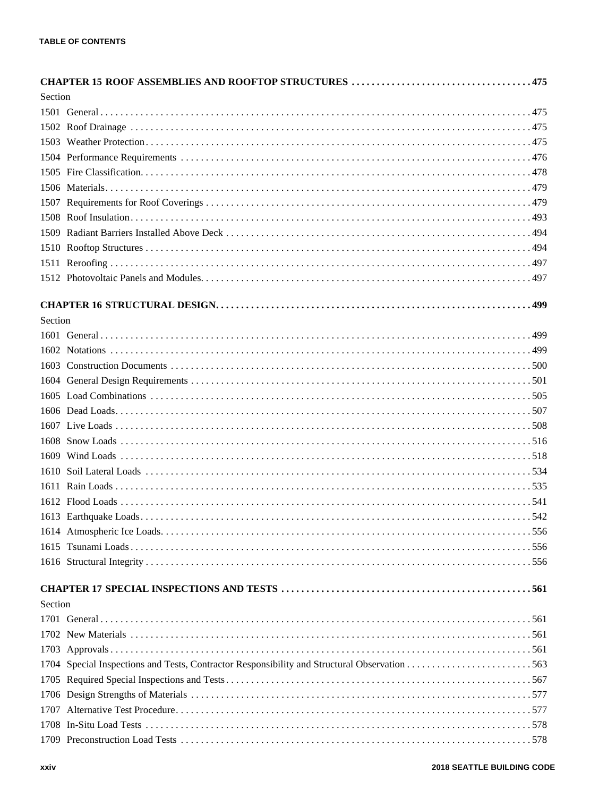|         | Section |  |  |
|---------|---------|--|--|
|         |         |  |  |
|         |         |  |  |
|         |         |  |  |
|         |         |  |  |
|         |         |  |  |
|         |         |  |  |
|         |         |  |  |
|         |         |  |  |
|         |         |  |  |
|         |         |  |  |
|         |         |  |  |
|         |         |  |  |
|         |         |  |  |
| Section |         |  |  |
|         |         |  |  |
|         |         |  |  |
|         |         |  |  |
|         |         |  |  |
|         |         |  |  |
|         |         |  |  |
|         |         |  |  |
|         |         |  |  |
|         |         |  |  |
|         |         |  |  |
|         |         |  |  |
|         |         |  |  |
|         |         |  |  |
|         |         |  |  |
|         |         |  |  |
|         |         |  |  |
|         |         |  |  |
| Section |         |  |  |
|         |         |  |  |
|         |         |  |  |
|         |         |  |  |
|         |         |  |  |
|         |         |  |  |
|         |         |  |  |
|         |         |  |  |
|         |         |  |  |
|         |         |  |  |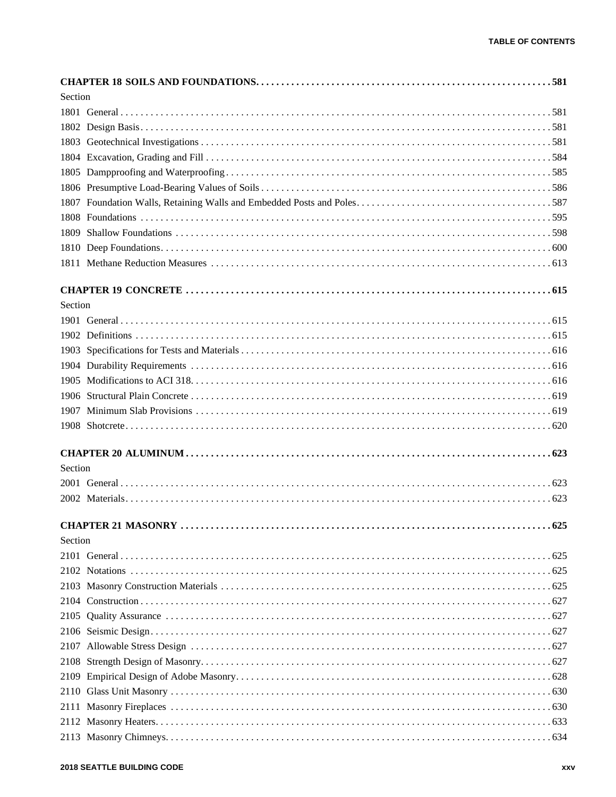| Section |  |
|---------|--|
|         |  |
|         |  |
|         |  |
|         |  |
|         |  |
|         |  |
|         |  |
|         |  |
| 1809    |  |
|         |  |
|         |  |
|         |  |
| Section |  |
|         |  |
|         |  |
|         |  |
|         |  |
|         |  |
|         |  |
|         |  |
|         |  |
|         |  |
| Section |  |
|         |  |
|         |  |
|         |  |
| Section |  |
|         |  |
|         |  |
|         |  |
|         |  |
|         |  |
|         |  |
|         |  |
|         |  |
|         |  |
|         |  |
|         |  |
|         |  |
|         |  |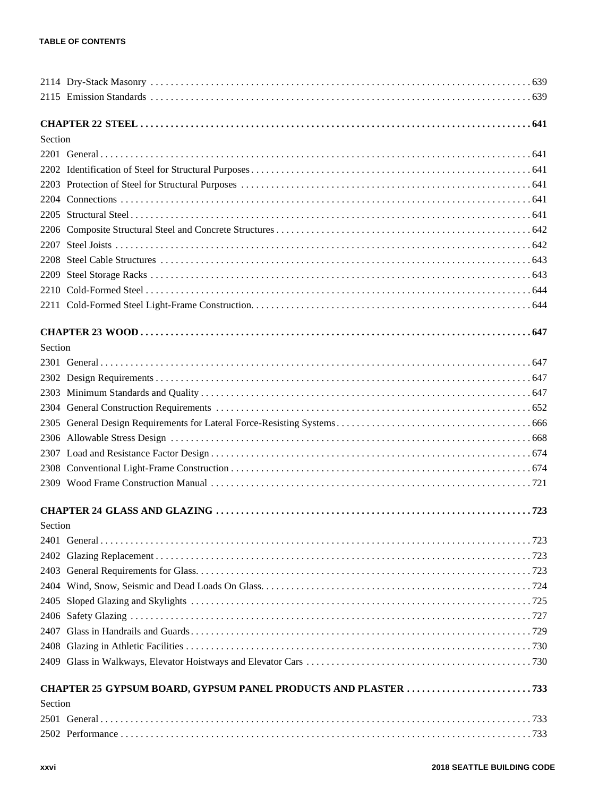| Section |  |
|---------|--|
|         |  |
|         |  |
|         |  |
|         |  |
|         |  |
|         |  |
|         |  |
|         |  |
| 2209    |  |
|         |  |
|         |  |
|         |  |
| Section |  |
|         |  |
|         |  |
|         |  |
|         |  |
|         |  |
|         |  |
|         |  |
|         |  |
|         |  |
|         |  |
| Section |  |
|         |  |
|         |  |
|         |  |
|         |  |
|         |  |
|         |  |
|         |  |
|         |  |
|         |  |
|         |  |
| Section |  |
|         |  |
|         |  |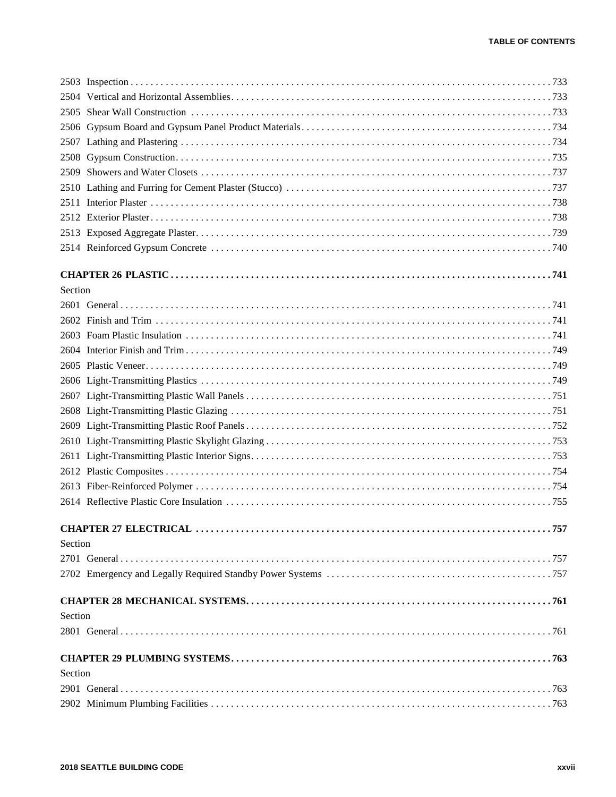| 2509    |                                      |
|---------|--------------------------------------|
|         |                                      |
|         |                                      |
|         |                                      |
|         |                                      |
|         |                                      |
|         |                                      |
| Section |                                      |
|         |                                      |
|         |                                      |
|         |                                      |
|         |                                      |
|         |                                      |
|         |                                      |
|         |                                      |
|         |                                      |
|         |                                      |
|         |                                      |
|         |                                      |
|         |                                      |
|         |                                      |
|         |                                      |
|         | <b>CHAPTER 27 ELECTRICAL.</b><br>757 |
| Section |                                      |
|         |                                      |
|         |                                      |
|         |                                      |
| Section |                                      |
|         |                                      |
|         |                                      |
| Section |                                      |
|         |                                      |
|         |                                      |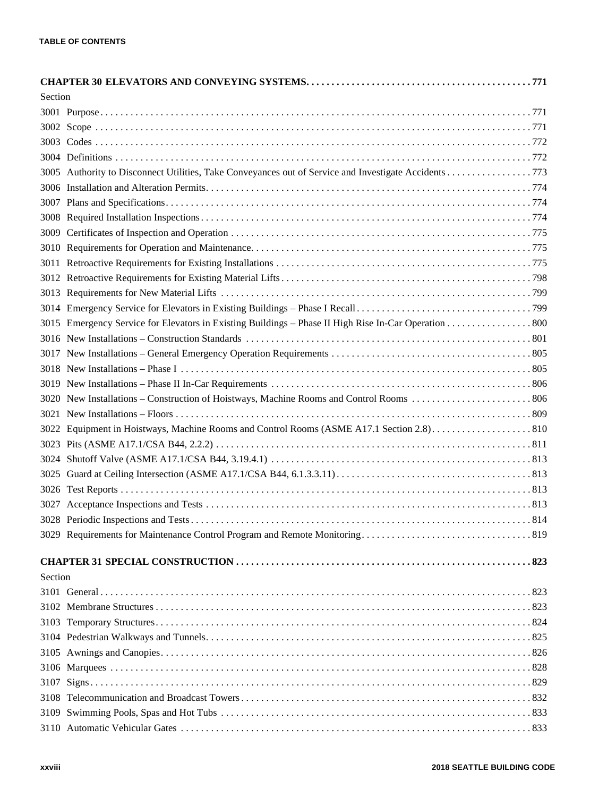| Section |                                                                                                      |
|---------|------------------------------------------------------------------------------------------------------|
|         |                                                                                                      |
|         |                                                                                                      |
|         |                                                                                                      |
|         |                                                                                                      |
|         | 3005 Authority to Disconnect Utilities, Take Conveyances out of Service and Investigate Accidents773 |
|         |                                                                                                      |
|         |                                                                                                      |
|         |                                                                                                      |
|         |                                                                                                      |
|         |                                                                                                      |
|         |                                                                                                      |
|         |                                                                                                      |
|         |                                                                                                      |
|         |                                                                                                      |
|         |                                                                                                      |
|         |                                                                                                      |
|         |                                                                                                      |
|         |                                                                                                      |
|         |                                                                                                      |
|         |                                                                                                      |
|         |                                                                                                      |
|         |                                                                                                      |
|         |                                                                                                      |
|         |                                                                                                      |
|         |                                                                                                      |
|         |                                                                                                      |
|         |                                                                                                      |
|         |                                                                                                      |
|         |                                                                                                      |
|         |                                                                                                      |
|         |                                                                                                      |
| Section |                                                                                                      |
|         |                                                                                                      |
|         |                                                                                                      |
|         |                                                                                                      |
|         |                                                                                                      |
|         |                                                                                                      |
|         |                                                                                                      |
|         |                                                                                                      |
|         |                                                                                                      |
|         |                                                                                                      |
|         |                                                                                                      |